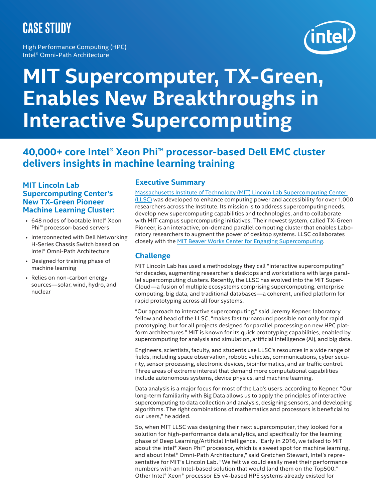## **CASE STUDY**

High Performance Computing (HPC) Intel® Omni-Path Architecture



# **MIT Supercomputer, TX-Green, Enables New Breakthroughs in Interactive Supercomputing**

### **40,000+ core Intel® Xeon Phi™ processor-based Dell EMC cluster delivers insights in machine learning training**

#### **MIT Lincoln Lab Supercomputing Center's New TX-Green Pioneer Machine Learning Cluster:**

- 648 nodes of bootable Intel® Xeon Phi™ processor-based servers
- Interconnected with Dell Networking H-Series Chassis Switch based on Intel® Omni-Path Architecture
- Designed for training phase of machine learning
- Relies on non-carbon energy sources—solar, wind, hydro, and nuclear

#### **Executive Summary**

[Massachusetts Institute of Technology \(MIT\) Lincoln Lab Supercomputing Center](https://www.ll.mit.edu/)  [\(LLSC\)](https://www.ll.mit.edu/) was developed to enhance computing power and accessibility for over 1,000 researchers across the Institute. Its mission is to address supercomputing needs, develop new supercomputing capabilities and technologies, and to collaborate with MIT campus supercomputing initiatives. Their newest system, called TX-Green Pioneer, is an interactive, on-demand parallel computing cluster that enables Laboratory researchers to augment the power of desktop systems. LLSC collaborates closely with the [MIT Beaver Works Center for Engaging Supercomputing](https://beaverworks.ll.mit.edu/CMS/bw/supercomputingcenteroverview).

#### **Challenge**

MIT Lincoln Lab has used a methodology they call "interactive supercomputing" for decades, augmenting researcher's desktops and workstations with large parallel supercomputing clusters. Recently, the LLSC has evolved into the MIT Super-Cloud—a fusion of multiple ecosystems comprising supercomputing, enterprise computing, big data, and traditional databases—a coherent, unified platform for rapid prototyping across all four systems.

"Our approach to interactive supercomputing," said Jeremy Kepner, laboratory fellow and head of the LLSC, "makes fast turnaround possible not only for rapid prototyping, but for all projects designed for parallel processing on new HPC platform architectures." MIT is known for its quick prototyping capabilities, enabled by supercomputing for analysis and simulation, artificial intelligence (AI), and big data.

Engineers, scientists, faculty, and students use LLSC's resources in a wide range of fields, including space observation, robotic vehicles, communications, cyber security, sensor processing, electronic devices, bioinformatics, and air traffic control. Three areas of extreme interest that demand more computational capabilities include autonomous systems, device physics, and machine learning.

Data analysis is a major focus for most of the Lab's users, according to Kepner. "Our long-term familiarity with Big Data allows us to apply the principles of interactive supercomputing to data collection and analysis, designing sensors, and developing algorithms. The right combinations of mathematics and processors is beneficial to our users," he added.

So, when MIT LLSC was designing their next supercomputer, they looked for a solution for high-performance data analytics, and specifically for the learning phase of Deep Learning/Artificial Intelligence. "Early in 2016, we talked to MIT about the Intel® Xeon Phi™ processor, which is a sweet spot for machine learning, and about Intel® Omni-Path Architecture," said Gretchen Stewart, Intel's representative for MIT's Lincoln Lab. "We felt we could easily meet their performance numbers with an Intel-based solution that would land them on the Top500." Other Intel® Xeon® processor E5 v4-based HPE systems already existed for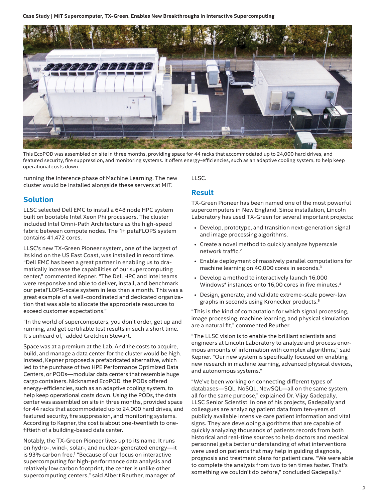**Case Study | MIT Supercomputer, TX-Green, Enables New Breakthroughs in Interactive Supercomputing**



This EcoPOD was assembled on site in three months, providing space for 44 racks that accommodated up to 24,000 hard drives, and featured security, fire suppression, and monitoring systems. It offers energy-efficiencies, such as an adaptive cooling system, to help keep operational costs down.

running the inference phase of Machine Learning. The new cluster would be installed alongside these servers at MIT.

#### **Solution**

LLSC selected Dell EMC to install a 648 node HPC system built on bootable Intel Xeon Phi processors. The cluster included Intel Omni-Path Architecture as the high-speed fabric between compute nodes. The 1+ petaFLOPS system contains 41,472 cores.

LLSC's new TX-Green Pioneer system, one of the largest of its kind on the US East Coast, was installed in record time. "Dell EMC has been a great partner in enabling us to dramatically increase the capabilities of our supercomputing center," commented Kepner. "The Dell HPC and Intel teams were responsive and able to deliver, install, and benchmark our petaFLOPS-scale system in less than a month. This was a great example of a well-coordinated and dedicated organization that was able to allocate the appropriate resources to exceed customer expectations."

"In the world of supercomputers, you don't order, get up and running, and get certifiable test results in such a short time. It's unheard of," added Gretchen Stewart.

Space was at a premium at the Lab. And the costs to acquire, build, and manage a data center for the cluster would be high. Instead, Kepner proposed a prefabricated alternative, which led to the purchase of two HPE Performance Optimized Data Centers, or PODs—modular data centers that resemble huge cargo containers. Nicknamed EcoPOD, the PODs offered energy-efficiencies, such as an adaptive cooling system, to help keep operational costs down. Using the PODs, the data center was assembled on site in three months, provided space for 44 racks that accommodated up to 24,000 hard drives, and featured security, fire suppression, and monitoring systems. According to Kepner, the cost is about one-twentieth to onefiftieth of a building-based data center.

Notably, the TX-Green Pioneer lives up to its name. It runs on hydro-, wind-, solar-, and nuclear-generated energy—it is 93% carbon free.<sup>1</sup> "Because of our focus on interactive supercomputing for high-performance data analysis and relatively low carbon footprint, the center is unlike other supercomputing centers," said Albert Reuther, manager of

LLSC.

#### **Result**

TX-Green Pioneer has been named one of the most powerful supercomputers in New England. Since installation, Lincoln Laboratory has used TX-Green for several important projects:

- Develop, prototype, and transition next-generation signal and image processing algorithms.
- Create a novel method to quickly analyze hyperscale network traffic.<sup>2</sup>
- Enable deployment of massively parallel computations for machine learning on 40,000 cores in seconds.3
- Develop a method to interactively launch 16,000 Windows\* instances onto 16,00 cores in five minutes.<sup>4</sup>
- Design, generate, and validate extreme-scale power-law graphs in seconds using Kronecker products.5

"This is the kind of computation for which signal processing, image processing, machine learning, and physical simulation are a natural fit," commented Reuther.

"The LLSC vision is to enable the brilliant scientists and engineers at Lincoln Laboratory to analyze and process enormous amounts of information with complex algorithms," said Kepner. "Our new system is specifically focused on enabling new research in machine learning, advanced physical devices, and autonomous systems."

"We've been working on connecting different types of databases—SQL, NoSQL, NewSQL—all on the same system, all for the same purpose," explained Dr. Vijay Gadepally, LLSC Senior Scientist. In one of his projects, Gadepally and colleagues are analyzing patient data from ten-years of publicly available intensive care patient information and vital signs. They are developing algorithms that are capable of quickly analyzing thousands of patients records from both historical and real-time sources to help doctors and medical personnel get a better understanding of what interventions were used on patients that may help in guiding diagnosis, prognosis and treatment plans for patient care. "We were able to complete the analysis from two to ten times faster. That's something we couldn't do before," concluded Gadepally.<sup>6</sup>